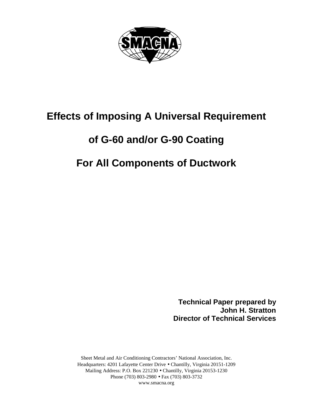

# **Effects of Imposing A Universal Requirement**

## **of G-60 and/or G-90 Coating**

## **For All Components of Ductwork**

**Technical Paper prepared by John H. Stratton Director of Technical Services**

Sheet Metal and Air Conditioning Contractors' National Association, Inc. Headquarters: 4201 Lafayette Center Drive • Chantilly, Virginia 20151-1209 Mailing Address: P.O. Box 221230 • Chantilly, Virginia 20153-1230 Phone (703) 803-2980 • Fax (703) 803-3732 www.smacna.org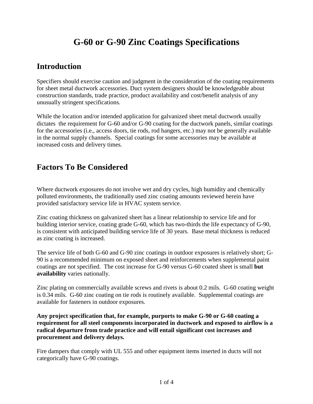## **G-60 or G-90 Zinc Coatings Specifications**

### **Introduction**

Specifiers should exercise caution and judgment in the consideration of the coating requirements for sheet metal ductwork accessories. Duct system designers should be knowledgeable about construction standards, trade practice, product availability and cost/benefit analysis of any unusually stringent specifications.

While the location and/or intended application for galvanized sheet metal ductwork usually dictates the requirement for G-60 and/or G-90 coating for the ductwork panels, similar coatings for the accessories (i.e., access doors, tie rods, rod hangers, etc.) may not be generally available in the normal supply channels. Special coatings for some accessories may be available at increased costs and delivery times.

### **Factors To Be Considered**

Where ductwork exposures do not involve wet and dry cycles, high humidity and chemically polluted environments, the traditionally used zinc coating amounts reviewed herein have provided satisfactory service life in HVAC system service.

Zinc coating thickness on galvanized sheet has a linear relationship to service life and for building interior service, coating grade G-60, which has two-thirds the life expectancy of G-90, is consistent with anticipated building service life of 30 years. Base metal thickness is reduced as zinc coating is increased.

The service life of both G-60 and G-90 zinc coatings in outdoor exposures is relatively short; G-90 is a recommended minimum on exposed sheet and reinforcements when supplemental paint coatings are not specified. The cost increase for G-90 versus G-60 coated sheet is small **but availability** varies nationally.

Zinc plating on commercially available screws and rivets is about 0.2 mils. G-60 coating weight is 0.34 mils. G-60 zinc coating on tie rods is routinely available. Supplemental coatings are available for fasteners in outdoor exposures.

**Any project specification that, for example, purports to make G-90 or G-60 coating a requirement for all steel components incorporated in ductwork and exposed to airflow is a radical departure from trade practice and will entail significant cost increases and procurement and delivery delays.**

Fire dampers that comply with UL 555 and other equipment items inserted in ducts will not categorically have G-90 coatings.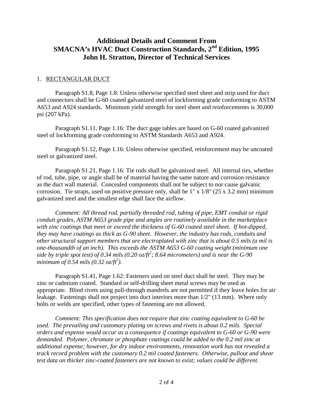### **Additional Details and Comment From SMACNA's HVAC Duct Construction Standards, 2nd Edition, 1995 John H. Stratton, Director of Technical Services**

#### 1. RECTANGULAR DUCT

Paragraph S1.8, Page 1.8: Unless otherwise specified steel sheet and strip used for duct and connectors shall be G-60 coated galvanized steel of lockforming grade conforming to ASTM A653 and A924 standards. Minimum yield strength for steel sheet and reinforcements is 30,000 psi (207 kPa).

Paragraph S1.11, Page 1.16: The duct gage tables are based on G-60 coated galvanized steel of lockforming grade conforming to ASTM Standards A653 and A924.

Paragraph S1.12, Page 1.16: Unless otherwise specified, reinforcement may be uncoated steel or galvanized steel.

Paragraph S1.21, Page 1.16: Tie rods shall be galvanized steel. All internal ties, whether of rod, tube, pipe, or angle shall be of material having the same nature and corrosion resistance as the duct wall material. Concealed components shall not be subject to nor cause galvanic corrosion. Tie straps, used on positive pressure only, shall be 1" x 1/8" (25 x 3.2 mm) minimum galvanized steel and the smallest edge shall face the airflow.

*Comment: All thread rod, partially threaded rod, tubing of pipe, EMT conduit or rigid conduit grades, ASTM A653 grade pipe and angles are routinely available in the marketplace with zinc coatings that meet or exceed the thickness of G-60 coated steel sheet. If hot-dipped, they may have coatings as thick as G-90 sheet. However, the industry has rods, conduits and other structural support members that are electroplated with zinc that is about 0.5 mils (a mil is one-thousandth of an inch). This exceeds the ASTM A653 G-60 coating weight (minimum one side by triple spot test) of 0.34 mils (0.20 oz/ft<sup>2</sup> ; 8.64 micrometers) and is near the G-90 minimum of 0.54 mils (0.32 oz/ft<sup>2</sup> ).*

Paragraph S1.41, Page 1.62: Fasteners used on steel duct shall be steel. They may be zinc or cadmium coated. Standard or self-drilling sheet metal screws may be used as appropriate. Blind rivets using pull-through mandrels are not permitted if they leave holes for air leakage. Fastenings shall not project into duct interiors more than 1/2" (13 mm). Where only bolts or welds are specified, other types of fastening are not allowed.

*Comment: This specification does not require that zinc coating equivalent to G-60 be used. The prevailing and customary plating on screws and rivets is about 0.2 mils. Special orders and expense would occur as a consequence if coatings equivalent to G-60 or G-90 were demanded. Polymer, chromate or phosphate coatings could be added to the 0.2 mil zinc at additional expense; however, for dry indoor environments, renovation work has not revealed a track record problem with the customary 0.2 mil coated fasteners. Otherwise, pullout and shear test data on thicker zinc-coated fasteners are not known to exist; values could be different.*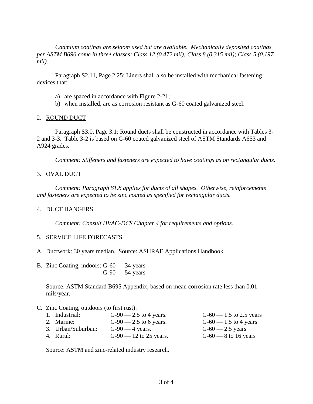*Cadmium coatings are seldom used but are available. Mechanically deposited coatings per ASTM B696 come in three classes: Class 12 (0.472 mil); Class 8 (0.315 mil); Class 5 (0.197 mil).*

Paragraph S2.11, Page 2.25: Liners shall also be installed with mechanical fastening devices that:

- a) are spaced in accordance with Figure 2-21;
- b) when installed, are as corrosion resistant as G-60 coated galvanized steel.

#### 2. ROUND DUCT

Paragraph S3.0, Page 3.1: Round ducts shall be constructed in accordance with Tables 3- 2 and 3-3. Table 3-2 is based on G-60 coated galvanized steel of ASTM Standards A653 and A924 grades.

*Comment: Stiffeners and fasteners are expected to have coatings as on rectangular ducts.*

#### 3. OVAL DUCT

*Comment: Paragraph S1.8 applies for ducts of all shapes. Otherwise, reinforcements and fasteners are expected to be zinc coated as specified for rectangular ducts.*

#### 4. DUCT HANGERS

*Comment: Consult HVAC-DCS Chapter 4 for requirements and options.*

#### 5. SERVICE LIFE FORECASTS

- A. Ductwork: 30 years median. Source: ASHRAE Applications Handbook
- B. Zinc Coating, indoors: G-60 34 years G-90 — 54 years

Source: ASTM Standard B695 Appendix, based on mean corrosion rate less than 0.01 mils/year.

#### C. Zinc Coating, outdoors (to first rust):

| 1. Industrial:     | $G-90$ — 2.5 to 4 years. | $G-60 - 1.5$ to 2.5 yea |
|--------------------|--------------------------|-------------------------|
| 2. Marine:         | $G-90 - 2.5$ to 6 years. | $G-60 - 1.5$ to 4 years |
| 3. Urban/Suburban: | $G-90$ — 4 years.        | $G-60 - 2.5$ years      |
| 4. Rural:          | $G-90 - 12$ to 25 years. | $G-60$ — 8 to 16 years  |

 $-1.5$  to 2.5 years.  $-1.5$  to 4 years.  $-2.5$  years.

Source: ASTM and zinc-related industry research.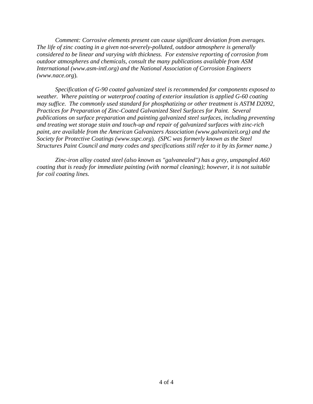*Comment: Corrosive elements present can cause significant deviation from averages. The life of zinc coating in a given not-severely-polluted, outdoor atmosphere is generally considered to be linear and varying with thickness. For extensive reporting of corrosion from outdoor atmospheres and chemicals, consult the many publications available from ASM International (www.asm-intl.org) and the National Association of Corrosion Engineers (www.nace.org*)*.*

*Specification of G-90 coated galvanized steel is recommended for components exposed to weather. Where painting or waterproof coating of exterior insulation is applied G-60 coating may suffice. The commonly used standard for phosphatizing or other treatment is ASTM D2092, Practices for Preparation of Zinc-Coated Galvanized Steel Surfaces for Paint. Several publications on surface preparation and painting galvanized steel surfaces, including preventing and treating wet storage stain and touch-up and repair of galvanized surfaces with zinc-rich paint, are available from the American Galvanizers Association (www.galvanizeit.org) and the Society for Protective Coatings (www.sspc.org*)*. (SPC was formerly known as the Steel Structures Paint Council and many codes and specifications still refer to it by its former name.)*

*Zinc-iron alloy coated steel (also known as "galvanealed") has a grey, unspangled A60 coating that is ready for immediate painting (with normal cleaning); however, it is not suitable for coil coating lines.*